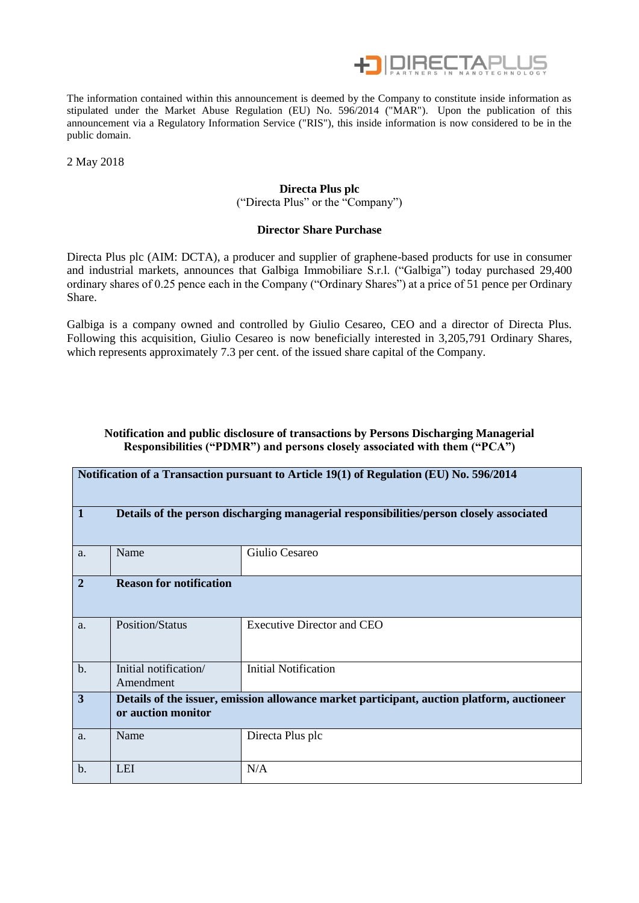

The information contained within this announcement is deemed by the Company to constitute inside information as stipulated under the Market Abuse Regulation (EU) No. 596/2014 ("MAR"). Upon the publication of this announcement via a Regulatory Information Service ("RIS"), this inside information is now considered to be in the public domain.

2 May 2018

## **Directa Plus plc**

("Directa Plus" or the "Company")

#### **Director Share Purchase**

Directa Plus plc (AIM: DCTA), a producer and supplier of graphene-based products for use in consumer and industrial markets, announces that Galbiga Immobiliare S.r.l. ("Galbiga") today purchased 29,400 ordinary shares of 0.25 pence each in the Company ("Ordinary Shares") at a price of 51 pence per Ordinary Share.

Galbiga is a company owned and controlled by Giulio Cesareo, CEO and a director of Directa Plus. Following this acquisition, Giulio Cesareo is now beneficially interested in 3,205,791 Ordinary Shares, which represents approximately 7.3 per cent. of the issued share capital of the Company.

#### **Notification and public disclosure of transactions by Persons Discharging Managerial Responsibilities ("PDMR") and persons closely associated with them ("PCA")**

| Notification of a Transaction pursuant to Article 19(1) of Regulation (EU) No. 596/2014                |                                                                                                                  |                                   |  |  |  |  |
|--------------------------------------------------------------------------------------------------------|------------------------------------------------------------------------------------------------------------------|-----------------------------------|--|--|--|--|
| $\mathbf 1$<br>Details of the person discharging managerial responsibilities/person closely associated |                                                                                                                  |                                   |  |  |  |  |
| a.                                                                                                     | Name                                                                                                             | Giulio Cesareo                    |  |  |  |  |
| $\overline{2}$                                                                                         | <b>Reason for notification</b>                                                                                   |                                   |  |  |  |  |
| a.                                                                                                     | <b>Position/Status</b>                                                                                           | <b>Executive Director and CEO</b> |  |  |  |  |
| $b$ .                                                                                                  | Initial notification/<br>Amendment                                                                               | <b>Initial Notification</b>       |  |  |  |  |
| 3                                                                                                      | Details of the issuer, emission allowance market participant, auction platform, auctioneer<br>or auction monitor |                                   |  |  |  |  |
| a.                                                                                                     | Name                                                                                                             | Directa Plus plc                  |  |  |  |  |
| $\mathbf b$ .                                                                                          | <b>LEI</b>                                                                                                       | N/A                               |  |  |  |  |